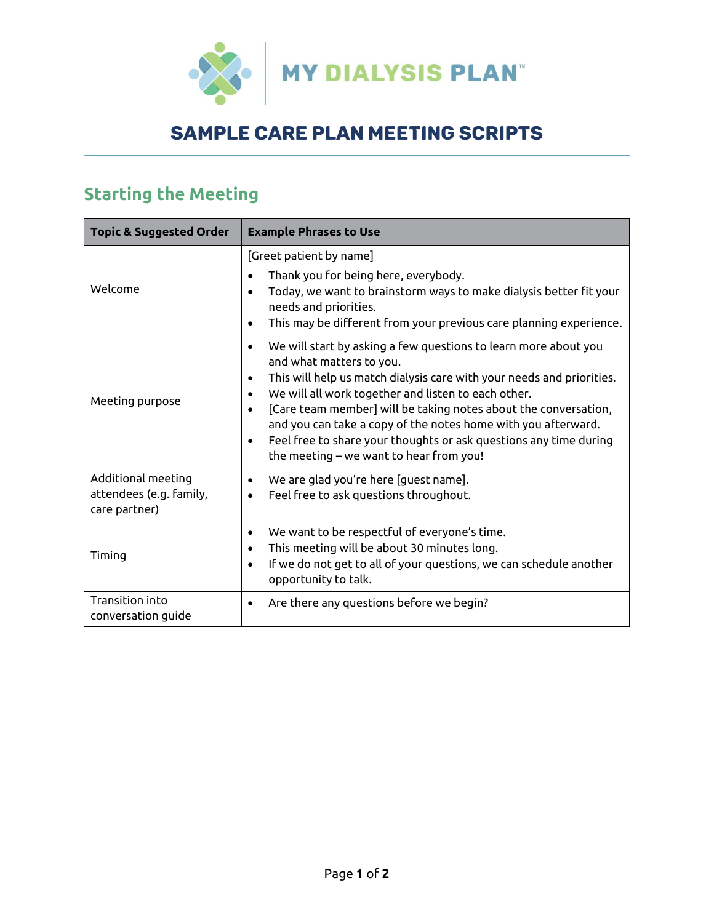

## Sample Care Plan Meeting Scripts

## **Starting the Meeting**

| <b>Topic &amp; Suggested Order</b>                             | <b>Example Phrases to Use</b>                                                                                                                                                                                                                                                                                                                                                                                                                                                                |
|----------------------------------------------------------------|----------------------------------------------------------------------------------------------------------------------------------------------------------------------------------------------------------------------------------------------------------------------------------------------------------------------------------------------------------------------------------------------------------------------------------------------------------------------------------------------|
| Welcome                                                        | [Greet patient by name]<br>Thank you for being here, everybody.<br>Today, we want to brainstorm ways to make dialysis better fit your<br>needs and priorities.<br>This may be different from your previous care planning experience.                                                                                                                                                                                                                                                         |
| Meeting purpose                                                | We will start by asking a few questions to learn more about you<br>and what matters to you.<br>This will help us match dialysis care with your needs and priorities.<br>We will all work together and listen to each other.<br>[Care team member] will be taking notes about the conversation,<br>and you can take a copy of the notes home with you afterward.<br>Feel free to share your thoughts or ask questions any time during<br>$\bullet$<br>the meeting – we want to hear from you! |
| Additional meeting<br>attendees (e.g. family,<br>care partner) | We are glad you're here [guest name].<br>Feel free to ask questions throughout.                                                                                                                                                                                                                                                                                                                                                                                                              |
| Timing                                                         | We want to be respectful of everyone's time.<br>$\bullet$<br>This meeting will be about 30 minutes long.<br>If we do not get to all of your questions, we can schedule another<br>opportunity to talk.                                                                                                                                                                                                                                                                                       |
| Transition into<br>conversation guide                          | Are there any questions before we begin?<br>٠                                                                                                                                                                                                                                                                                                                                                                                                                                                |